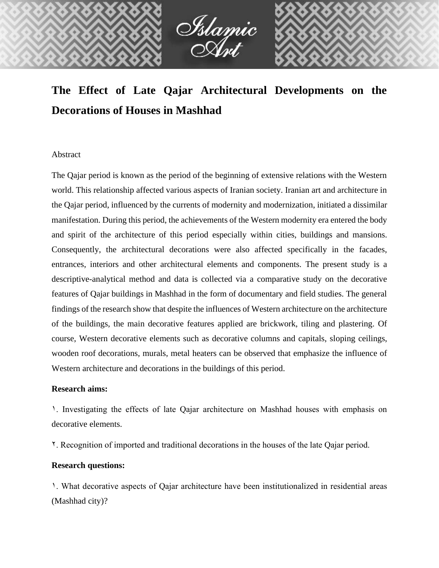

# **The Effect of Late Qajar Architectural Developments on the Decorations of Houses in Mashhad**

#### Abstract

The Qajar period is known as the period of the beginning of extensive relations with the Western world. This relationship affected various aspects of Iranian society. Iranian art and architecture in the Qajar period, influenced by the currents of modernity and modernization, initiated a dissimilar manifestation. During this period, the achievements of the Western modernity era entered the body and spirit of the architecture of this period especially within cities, buildings and mansions. Consequently, the architectural decorations were also affected specifically in the facades, entrances, interiors and other architectural elements and components. The present study is a descriptive-analytical method and data is collected via a comparative study on the decorative features of Qajar buildings in Mashhad in the form of documentary and field studies. The general findings of the research show that despite the influences of Western architecture on the architecture of the buildings, the main decorative features applied are brickwork, tiling and plastering. Of course, Western decorative elements such as decorative columns and capitals, sloping ceilings, wooden roof decorations, murals, metal heaters can be observed that emphasize the influence of Western architecture and decorations in the buildings of this period.

### **Research aims:**

1. Investigating the effects of late Qajar architecture on Mashhad houses with emphasis on decorative elements.

2. Recognition of imported and traditional decorations in the houses of the late Qajar period.

### **Research questions:**

1. What decorative aspects of Qajar architecture have been institutionalized in residential areas (Mashhad city)?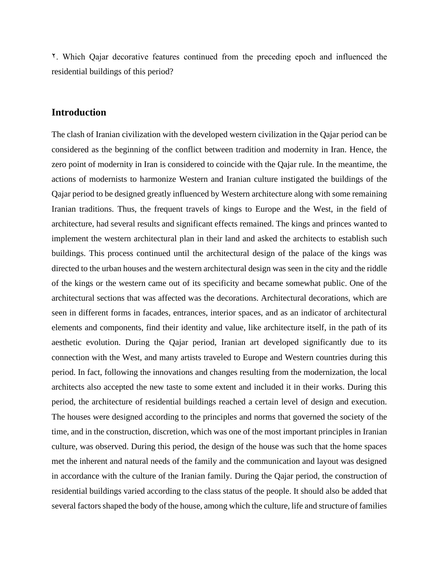2. Which Qajar decorative features continued from the preceding epoch and influenced the residential buildings of this period?

### **Introduction**

The clash of Iranian civilization with the developed western civilization in the Qajar period can be considered as the beginning of the conflict between tradition and modernity in Iran. Hence, the zero point of modernity in Iran is considered to coincide with the Qajar rule. In the meantime, the actions of modernists to harmonize Western and Iranian culture instigated the buildings of the Qajar period to be designed greatly influenced by Western architecture along with some remaining Iranian traditions. Thus, the frequent travels of kings to Europe and the West, in the field of architecture, had several results and significant effects remained. The kings and princes wanted to implement the western architectural plan in their land and asked the architects to establish such buildings. This process continued until the architectural design of the palace of the kings was directed to the urban houses and the western architectural design was seen in the city and the riddle of the kings or the western came out of its specificity and became somewhat public. One of the architectural sections that was affected was the decorations. Architectural decorations, which are seen in different forms in facades, entrances, interior spaces, and as an indicator of architectural elements and components, find their identity and value, like architecture itself, in the path of its aesthetic evolution. During the Qajar period, Iranian art developed significantly due to its connection with the West, and many artists traveled to Europe and Western countries during this period. In fact, following the innovations and changes resulting from the modernization, the local architects also accepted the new taste to some extent and included it in their works. During this period, the architecture of residential buildings reached a certain level of design and execution. The houses were designed according to the principles and norms that governed the society of the time, and in the construction, discretion, which was one of the most important principles in Iranian culture, was observed. During this period, the design of the house was such that the home spaces met the inherent and natural needs of the family and the communication and layout was designed in accordance with the culture of the Iranian family. During the Qajar period, the construction of residential buildings varied according to the class status of the people. It should also be added that several factors shaped the body of the house, among which the culture, life and structure of families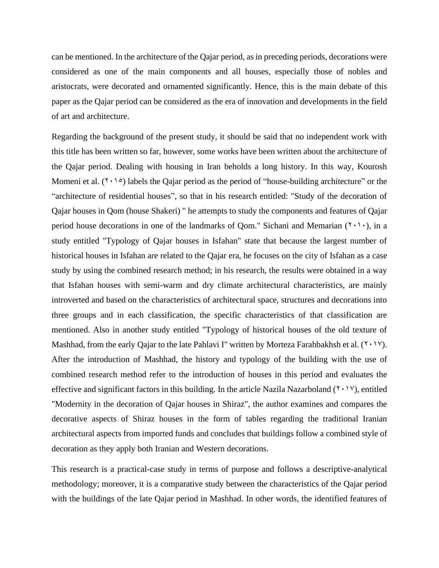can be mentioned. In the architecture of the Qajar period, as in preceding periods, decorations were considered as one of the main components and all houses, especially those of nobles and aristocrats, were decorated and ornamented significantly. Hence, this is the main debate of this paper as the Qajar period can be considered as the era of innovation and developments in the field of art and architecture.

Regarding the background of the present study, it should be said that no independent work with this title has been written so far, however, some works have been written about the architecture of the Qajar period. Dealing with housing in Iran beholds a long history. In this way, Kourosh Momeni et al.  $(7 \cdot 1)$  labels the Qajar period as the period of "house-building architecture" or the "architecture of residential houses", so that in his research entitled: "Study of the decoration of Qajar houses in Qom (house Shakeri) " he attempts to study the components and features of Qajar period house decorations in one of the landmarks of Qom." Sichani and Memarian  $(7 \cdot 1 \cdot)$ , in a study entitled "Typology of Qajar houses in Isfahan" state that because the largest number of historical houses in Isfahan are related to the Qajar era, he focuses on the city of Isfahan as a case study by using the combined research method; in his research, the results were obtained in a way that Isfahan houses with semi-warm and dry climate architectural characteristics, are mainly introverted and based on the characteristics of architectural space, structures and decorations into three groups and in each classification, the specific characteristics of that classification are mentioned. Also in another study entitled "Typology of historical houses of the old texture of Mashhad, from the early Qajar to the late Pahlavi I" written by Morteza Farahbakhsh et al.  $(1 \cdot 1 \vee)$ . After the introduction of Mashhad, the history and typology of the building with the use of combined research method refer to the introduction of houses in this period and evaluates the effective and significant factors in this building. In the article Nazila Nazarboland  $(1 \cdot 1 \cdot 7)$ , entitled "Modernity in the decoration of Qajar houses in Shiraz", the author examines and compares the decorative aspects of Shiraz houses in the form of tables regarding the traditional Iranian architectural aspects from imported funds and concludes that buildings follow a combined style of decoration as they apply both Iranian and Western decorations.

This research is a practical-case study in terms of purpose and follows a descriptive-analytical methodology; moreover, it is a comparative study between the characteristics of the Qajar period with the buildings of the late Qajar period in Mashhad. In other words, the identified features of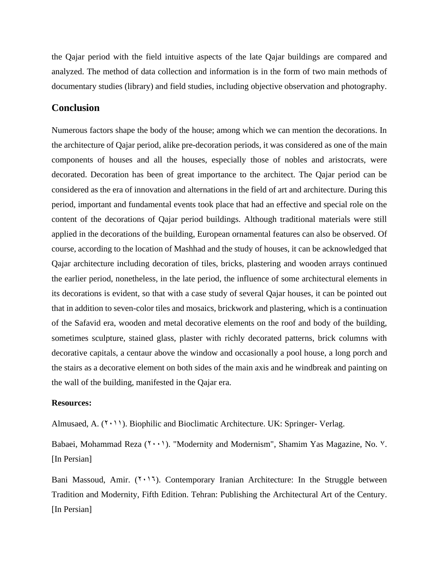the Qajar period with the field intuitive aspects of the late Qajar buildings are compared and analyzed. The method of data collection and information is in the form of two main methods of documentary studies (library) and field studies, including objective observation and photography.

## **Conclusion**

Numerous factors shape the body of the house; among which we can mention the decorations. In the architecture of Qajar period, alike pre-decoration periods, it was considered as one of the main components of houses and all the houses, especially those of nobles and aristocrats, were decorated. Decoration has been of great importance to the architect. The Qajar period can be considered as the era of innovation and alternations in the field of art and architecture. During this period, important and fundamental events took place that had an effective and special role on the content of the decorations of Qajar period buildings. Although traditional materials were still applied in the decorations of the building, European ornamental features can also be observed. Of course, according to the location of Mashhad and the study of houses, it can be acknowledged that Qajar architecture including decoration of tiles, bricks, plastering and wooden arrays continued the earlier period, nonetheless, in the late period, the influence of some architectural elements in its decorations is evident, so that with a case study of several Qajar houses, it can be pointed out that in addition to seven-color tiles and mosaics, brickwork and plastering, which is a continuation of the Safavid era, wooden and metal decorative elements on the roof and body of the building, sometimes sculpture, stained glass, plaster with richly decorated patterns, brick columns with decorative capitals, a centaur above the window and occasionally a pool house, a long porch and the stairs as a decorative element on both sides of the main axis and he windbreak and painting on the wall of the building, manifested in the Qajar era.

#### **Resources:**

Almusaed, A.  $(Y \cdot Y)$ . Biophilic and Bioclimatic Architecture. UK: Springer- Verlag.

Babaei, Mohammad Reza  $(1 \cdot \cdot)$ . "Modernity and Modernism", Shamim Yas Magazine, No.  $\cdot$ . [In Persian]

Bani Massoud, Amir.  $(1 \cdot 1)$ . Contemporary Iranian Architecture: In the Struggle between Tradition and Modernity, Fifth Edition. Tehran: Publishing the Architectural Art of the Century. [In Persian]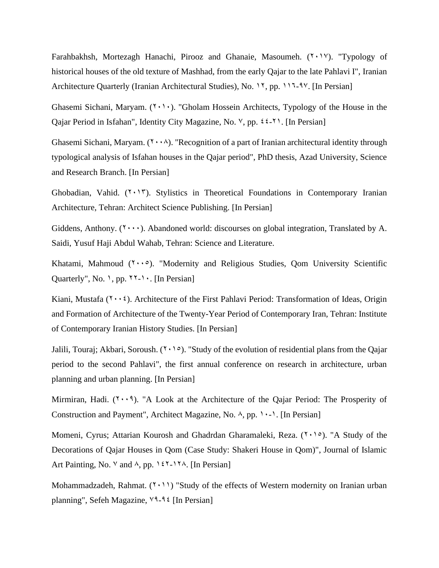Farahbakhsh, Mortezagh Hanachi, Pirooz and Ghanaie, Masoumeh.  $(1 \cdot 1 \vee)$ . "Typology of historical houses of the old texture of Mashhad, from the early Qajar to the late Pahlavi I", Iranian Architecture Quarterly (Iranian Architectural Studies), No. 11, pp. 111-97. [In Persian]

Ghasemi Sichani, Maryam.  $(2 \cdot) \cdot$ ). "Gholam Hossein Architects, Typology of the House in the Qajar Period in Isfahan", Identity City Magazine, No.  $\vee$ , pp.  $\< \< \> \>$ . [In Persian]

Ghasemi Sichani, Maryam.  $(Y \cdot \cdot \wedge)$ . "Recognition of a part of Iranian architectural identity through typological analysis of Isfahan houses in the Qajar period", PhD thesis, Azad University, Science and Research Branch. [In Persian]

Ghobadian, Vahid.  $(Y \cdot Y)$ . Stylistics in Theoretical Foundations in Contemporary Iranian Architecture, Tehran: Architect Science Publishing. [In Persian]

Giddens, Anthony.  $(1 \cdot \cdot \cdot)$ . Abandoned world: discourses on global integration, Translated by A. Saidi, Yusuf Haji Abdul Wahab, Tehran: Science and Literature.

Khatami, Mahmoud  $(7 \cdot \cdot \circ)$ . "Modernity and Religious Studies, Qom University Scientific Quarterly", No.  $\lambda$ , pp.  $\lambda \lambda - \lambda$ . [In Persian]

Kiani, Mustafa ( $\cdots$ ). Architecture of the First Pahlavi Period: Transformation of Ideas, Origin and Formation of Architecture of the Twenty-Year Period of Contemporary Iran, Tehran: Institute of Contemporary Iranian History Studies. [In Persian]

Jalili, Touraj; Akbari, Soroush.  $(1 \cdot 1)$ . "Study of the evolution of residential plans from the Qajar period to the second Pahlavi", the first annual conference on research in architecture, urban planning and urban planning. [In Persian]

Mirmiran, Hadi.  $(Y \cdot \vartheta)$ . "A Look at the Architecture of the Qajar Period: The Prosperity of Construction and Payment", Architect Magazine, No.  $\lambda$ , pp.  $\lambda$ . [In Persian]

Momeni, Cyrus; Attarian Kourosh and Ghadrdan Gharamaleki, Reza.  $(7 \cdot 1)$ . "A Study of the Decorations of Qajar Houses in Qom (Case Study: Shakeri House in Qom)", Journal of Islamic Art Painting, No.  $\vee$  and  $\wedge$ , pp. 127-17 $\wedge$ . [In Persian]

Mohammadzadeh, Rahmat.  $(2 \cdot 1)$  "Study of the effects of Western modernity on Iranian urban planning", Sefeh Magazine, <sup>19</sup>-9<sup>2</sup> [In Persian]